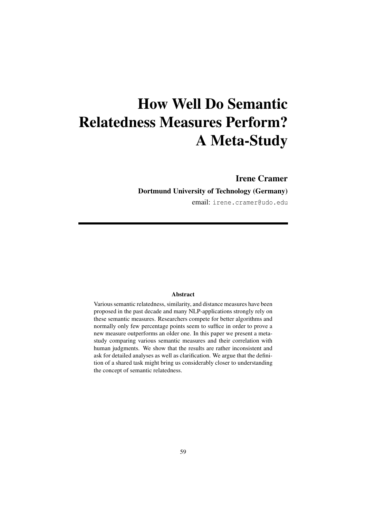# How Well Do Semantic Relatedness Measures Perform? A Meta-Study

## Irene Cramer

## Dortmund University of Technology (Germany)

email: irene.cramer@udo.edu

### Abstract

Various semantic relatedness, similarity, and distance measures have been proposed in the past decade and many NLP-applications strongly rely on these semantic measures. Researchers compete for better algorithms and normally only few percentage points seem to suffice in order to prove a new measure outperforms an older one. In this paper we present a metastudy comparing various semantic measures and their correlation with human judgments. We show that the results are rather inconsistent and ask for detailed analyses as well as clarification. We argue that the definition of a shared task might bring us considerably closer to understanding the concept of semantic relatedness.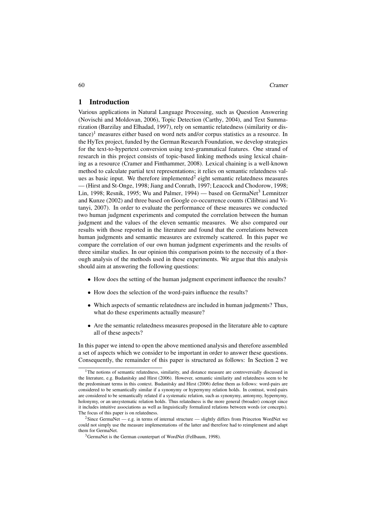60 Cramer

## 1 Introduction

Various applications in Natural Language Processing, such as Question Answering (Novischi and Moldovan, 2006), Topic Detection (Carthy, 2004), and Text Summarization (Barzilay and Elhadad, 1997), rely on semantic relatedness (similarity or dis $tance$ <sup>1</sup> measures either based on word nets and/or corpus statistics as a resource. In the HyTex project, funded by the German Research Foundation, we develop strategies for the text-to-hypertext conversion using text-grammatical features. One strand of research in this project consists of topic-based linking methods using lexical chaining as a resource (Cramer and Finthammer, 2008). Lexical chaining is a well-known method to calculate partial text representations; it relies on semantic relatedness values as basic input. We therefore implemented<sup>2</sup> eight semantic relatedness measures — (Hirst and St-Onge, 1998; Jiang and Conrath, 1997; Leacock and Chodorow, 1998; Lin, 1998; Resnik, 1995; Wu and Palmer, 1994) — based on GermaNet<sup>3</sup> Lemnitzer and Kunze (2002) and three based on Google co-occurrence counts (Cilibrasi and Vitanyi, 2007). In order to evaluate the performance of these measures we conducted two human judgment experiments and computed the correlation between the human judgment and the values of the eleven semantic measures. We also compared our results with those reported in the literature and found that the correlations between human judgments and semantic measures are extremely scattered. In this paper we compare the correlation of our own human judgment experiments and the results of three similar studies. In our opinion this comparison points to the necessity of a thorough analysis of the methods used in these experiments. We argue that this analysis should aim at answering the following questions:

- How does the setting of the human judgment experiment influence the results?
- How does the selection of the word-pairs influence the results?
- Which aspects of semantic relatedness are included in human judgments? Thus, what do these experiments actually measure?
- Are the semantic relatedness measures proposed in the literature able to capture all of these aspects?

In this paper we intend to open the above mentioned analysis and therefore assembled a set of aspects which we consider to be important in order to answer these questions. Consequently, the remainder of this paper is structured as follows: In Section 2 we

<sup>&</sup>lt;sup>1</sup>The notions of semantic relatedness, similarity, and distance measure are controversially discussed in the literature, e.g. Budanitsky and Hirst (2006). However, semantic similarity and relatedness seem to be the predominant terms in this context. Budanitsky and Hirst (2006) define them as follows: word-pairs are considered to be semantically similar if a synonymy or hypernymy relation holds. In contrast, word-pairs are considered to be semantically related if a systematic relation, such as synonymy, antonymy, hypernymy, holonymy, or an unsystematic relation holds. Thus relatedness is the more general (broader) concept since it includes intuitive associations as well as linguistically formalized relations between words (or concepts). The focus of this paper is on relatedness.

<sup>&</sup>lt;sup>2</sup>Since GermaNet — e.g. in terms of internal structure — slightly differs from Princeton WordNet we could not simply use the measure implementations of the latter and therefore had to reimplement and adapt them for GermaNet.

<sup>&</sup>lt;sup>3</sup>GermaNet is the German counterpart of WordNet (Fellbaum, 1998).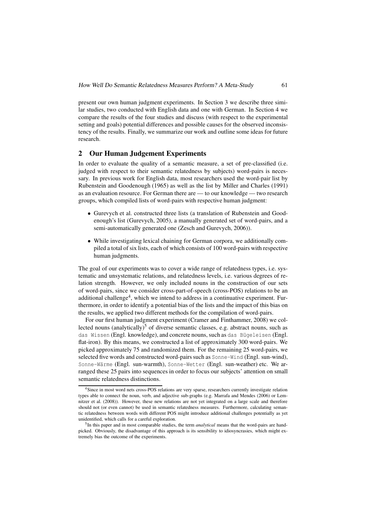present our own human judgment experiments. In Section 3 we describe three similar studies, two conducted with English data and one with German. In Section 4 we compare the results of the four studies and discuss (with respect to the experimental setting and goals) potential differences and possible causes for the observed inconsistency of the results. Finally, we summarize our work and outline some ideas for future research.

## 2 Our Human Judgement Experiments

In order to evaluate the quality of a semantic measure, a set of pre-classified (i.e. judged with respect to their semantic relatedness by subjects) word-pairs is necessary. In previous work for English data, most researchers used the word-pair list by Rubenstein and Goodenough (1965) as well as the list by Miller and Charles (1991) as an evaluation resource. For German there are — to our knowledge — two research groups, which compiled lists of word-pairs with respective human judgment:

- Gurevych et al. constructed three lists (a translation of Rubenstein and Goodenough's list (Gurevych, 2005), a manually generated set of word-pairs, and a semi-automatically generated one (Zesch and Gurevych, 2006)).
- While investigating lexical chaining for German corpora, we additionally compiled a total of six lists, each of which consists of 100 word-pairs with respective human judgments.

The goal of our experiments was to cover a wide range of relatedness types, i.e. systematic and unsystematic relations, and relatedness levels, i.e. various degrees of relation strength. However, we only included nouns in the construction of our sets of word-pairs, since we consider cross-part-of-speech (cross-POS) relations to be an additional challenge<sup>4</sup>, which we intend to address in a continuative experiment. Furthermore, in order to identify a potential bias of the lists and the impact of this bias on the results, we applied two different methods for the compilation of word-pairs.

For our first human judgment experiment (Cramer and Finthammer, 2008) we collected nouns (analytically)<sup>5</sup> of diverse semantic classes, e.g. abstract nouns, such as das Wissen (Engl. knowledge), and concrete nouns, such as das Bügeleisen (Engl. flat-iron). By this means, we constructed a list of approximately 300 word-pairs. We picked approximately 75 and randomized them. For the remaining 25 word-pairs, we selected five words and constructed word-pairs such as Sonne-Wind (Engl. sun-wind), Sonne-Wärme (Engl. sun-warmth), Sonne-Wetter (Engl. sun-weather) etc. We arranged these 25 pairs into sequences in order to focus our subjects' attention on small semantic relatedness distinctions.

<sup>&</sup>lt;sup>4</sup>Since in most word nets cross-POS relations are very sparse, researchers currently investigate relation types able to connect the noun, verb, and adjective sub-graphs (e.g. Marrafa and Mendes (2006) or Lemnitzer et al. (2008)). However, these new relations are not yet integrated on a large scale and therefore should not (or even cannot) be used in semantic relatedness measures. Furthermore, calculating semantic relatedness between words with different POS might introduce additional challenges potentially as yet unidentified, which calls for a careful exploration.

<sup>5</sup> In this paper and in most comparable studies, the term *analytical* means that the word-pairs are handpicked. Obviously, the disadvantage of this approach is its sensibility to idiosyncrasies, which might extremely bias the outcome of the experiments.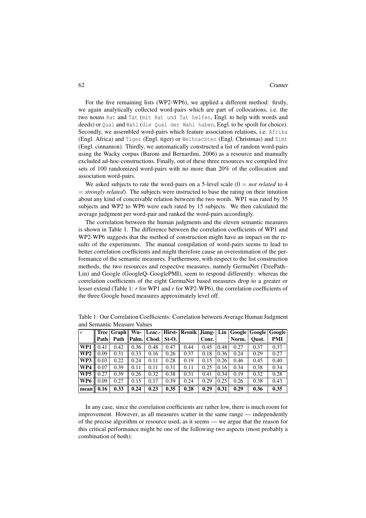For the five remaining lists (WP2-WP6), we applied a different method: firstly, we again analytically collected word-pairs which are part of collocations, i.e. the two nouns Rat and Tat (mit Rat und Tat helfen, Engl. to help with words and deeds) or Qual and Wahl (die Qual der Wahl haben, Engl. to be spoilt for choice). Secondly, we assembled word-pairs which feature association relations, i.e. Afrika (Engl. Africa) and Tiger (Engl. tiger) or Weihnachten (Engl. Christmas) and Zimt (Engl. cinnamon). Thirdly, we automatically constructed a list of random word-pairs using the Wacky corpus (Baroni and Bernardini, 2006) as a resource and manually excluded ad-hoc-constructions. Finally, out of these three resources we compiled five sets of 100 randomized word-pairs with no more than 20% of the collocation and association word-pairs.

We asked subjects to rate the word-pairs on a 5-level scale  $(0 = not$  *related* to 4 = *strongly related*). The subjects were instructed to base the rating on their intuition about any kind of conceivable relation between the two words. WP1 was rated by 35 subjects and WP2 to WP6 were each rated by 15 subjects. We then calculated the average judgment per word-pair and ranked the word-pairs accordingly.

The correlation between the human judgments and the eleven semantic measures is shown in Table 1. The difference between the correlation coefficients of WP1 and WP2-WP6 suggests that the method of construction might have an impact on the results of the experiments. The manual compilation of word-pairs seems to lead to better correlation coefficients and might therefore cause an overestimation of the performance of the semantic measures. Furthermore, with respect to the list construction methods, the two resources and respective measures, namely GermaNet (TreePath– Lin) and Google (GoogleQ–GooglePMI), seem to respond differently: whereas the correlation coefficients of the eight GermaNet based measures drop to a greater or lesser extend (Table 1: *r* for WP1 and *r* for WP2-WP6), the correlation coefficients of the three Google based measures approximately level off.

| $\mathbf{r}$    |      | Tree   Graph | Wu-  |                   |      |      |       |      | Leac.-   Hirst-   Resnik   Jiang-   Lin   Google   Google   Google |       |      |
|-----------------|------|--------------|------|-------------------|------|------|-------|------|--------------------------------------------------------------------|-------|------|
|                 | Path | Path         |      | Palm. Chod. St-O. |      |      | Conr. |      | Norm.                                                              | Ouot. | PMI  |
| WP1             | 0.41 | 0.42         | 0.36 | 0.48              | 0.47 | 0.44 | 0.45  | 0.48 | 0.27                                                               | 0.37  | 0.37 |
| WP <sub>2</sub> | 0.09 | 0.31         | 0.33 | 0.16              | 0.26 | 0.37 | 0.18  | 0.36 | 0.24                                                               | 0.29  | 0.27 |
| WP3             | 0.03 | 0.22         | 0.24 | 0.11              | 0.28 | 0.19 | 0.15  | 0.26 | 0.46                                                               | 0.45  | 0.40 |
| WP4             | 0.07 | 0.39         | 0.11 | 0.11              | 0.31 | 0.11 | 0.25  | 0.16 | 0.34                                                               | 0.38  | 0.34 |
| WP <sub>5</sub> | 0.27 | 0.39         | 0.26 | 0.32              | 0.38 | 0.31 | 0.41  | 0.34 | 0.19                                                               | 0.32  | 0.28 |
| WP6             | 0.09 | 0.27         | 0.15 | 0.17              | 0.39 | 0.24 | 0.29  | 0.25 | 0.26                                                               | 0.38  | 0.43 |
| mean            | 0.16 | 0.33         | 0.24 | 0.23              | 0.35 | 0.28 | 0.29  | 0.31 | 0.29                                                               | 0.36  | 0.35 |

Table 1: Our Correlation Coefficients: Correlation between Average Human Judgment and Semantic Measure Values

In any case, since the correlation coefficients are rather low, there is much room for improvement. However, as all measures scatter in the same range — independently of the precise algorithm or resource used, as it seems — we argue that the reason for this critical performance might be one of the following two aspects (most probably a combination of both):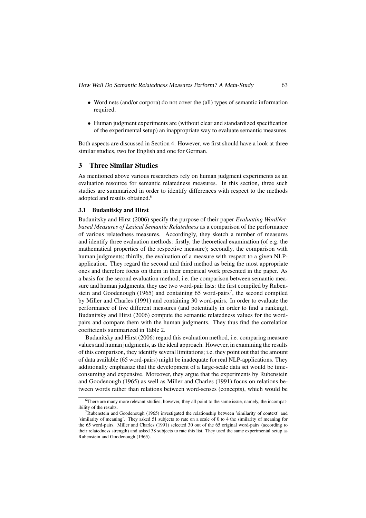How Well Do Semantic Relatedness Measures Perform? <sup>A</sup> Meta-Study 63

- Word nets (and/or corpora) do not cover the (all) types of semantic information required.
- Human judgment experiments are (without clear and standardized specification of the experimental setup) an inappropriate way to evaluate semantic measures.

Both aspects are discussed in Section 4. However, we first should have a look at three similar studies, two for English and one for German.

## 3 Three Similar Studies

As mentioned above various researchers rely on human judgment experiments as an evaluation resource for semantic relatedness measures. In this section, three such studies are summarized in order to identify differences with respect to the methods adopted and results obtained.<sup>6</sup>

#### 3.1 Budanitsky and Hirst

Budanitsky and Hirst (2006) specify the purpose of their paper *Evaluating WordNetbased Measures of Lexical Semantic Relatedness* as a comparison of the performance of various relatedness measures. Accordingly, they sketch a number of measures and identify three evaluation methods: firstly, the theoretical examination (of e.g. the mathematical properties of the respective measure); secondly, the comparison with human judgments; thirdly, the evaluation of a measure with respect to a given NLPapplication. They regard the second and third method as being the most appropriate ones and therefore focus on them in their empirical work presented in the paper. As a basis for the second evaluation method, i.e. the comparison between semantic measure and human judgments, they use two word-pair lists: the first compiled by Rubenstein and Goodenough (1965) and containing 65 word-pairs<sup>7</sup>, the second compiled by Miller and Charles (1991) and containing 30 word-pairs. In order to evaluate the performance of five different measures (and potentially in order to find a ranking), Budanitsky and Hirst (2006) compute the semantic relatedness values for the wordpairs and compare them with the human judgments. They thus find the correlation coefficients summarized in Table 2.

Budanitsky and Hirst (2006) regard this evaluation method, i.e. comparing measure values and human judgments, as the ideal approach. However, in examining the results of this comparison, they identify several limitations; i.e. they point out that the amount of data available (65 word-pairs) might be inadequate for real NLP-applications. They additionally emphasize that the development of a large-scale data set would be timeconsuming and expensive. Moreover, they argue that the experiments by Rubenstein and Goodenough (1965) as well as Miller and Charles (1991) focus on relations between words rather than relations between word-senses (concepts), which would be

<sup>&</sup>lt;sup>6</sup>There are many more relevant studies; however, they all point to the same issue, namely, the incompatibility of the results.

 $7Rubenstein$  and Goodenough (1965) investigated the relationship between 'similarity of context' and 'similarity of meaning'. They asked 51 subjects to rate on a scale of 0 to 4 the similarity of meaning for the 65 word-pairs. Miller and Charles (1991) selected 30 out of the 65 original word-pairs (according to their relatedness strength) and asked 38 subjects to rate this list. They used the same experimental setup as Rubenstein and Goodenough (1965).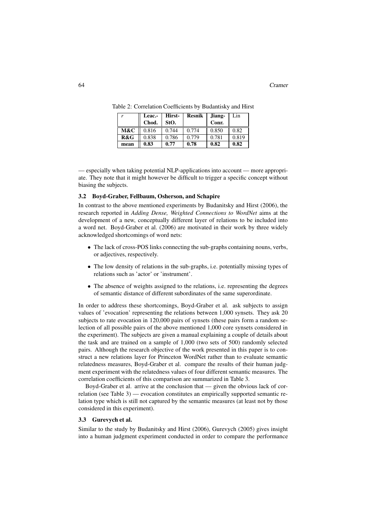| r    | Leac.- | Hirst- | <b>Resnik</b> | Jiang- | Lin   |
|------|--------|--------|---------------|--------|-------|
|      | Chod.  | StO.   |               | Conr.  |       |
| M&C  | 0.816  | 0.744  | 0.774         | 0.850  | 0.82  |
| R&G  | 0.838  | 0.786  | 0.779         | 0.781  | 0.819 |
| mean | 0.83   | 0.77   | 0.78          | 0.82   | 0.82  |

Table 2: Correlation Coefficients by Budantisky and Hirst

— especially when taking potential NLP-applications into account — more appropriate. They note that it might however be difficult to trigger a specific concept without biasing the subjects.

#### 3.2 Boyd-Graber, Fellbaum, Osherson, and Schapire

In contrast to the above mentioned experiments by Budanitsky and Hirst (2006), the research reported in *Adding Dense, Weighted Connections to WordNet* aims at the development of a new, conceptually different layer of relations to be included into a word net. Boyd-Graber et al. (2006) are motivated in their work by three widely acknowledged shortcomings of word nets:

- The lack of cross-POS links connecting the sub-graphs containing nouns, verbs, or adjectives, respectively.
- The low density of relations in the sub-graphs, i.e. potentially missing types of relations such as 'actor' or 'instrument'.
- The absence of weights assigned to the relations, i.e. representing the degrees of semantic distance of different subordinates of the same superordinate.

In order to address these shortcomings, Boyd-Graber et al. ask subjects to assign values of 'evocation' representing the relations between 1,000 synsets. They ask 20 subjects to rate evocation in 120,000 pairs of synsets (these pairs form a random selection of all possible pairs of the above mentioned 1,000 core synsets considered in the experiment). The subjects are given a manual explaining a couple of details about the task and are trained on a sample of 1,000 (two sets of 500) randomly selected pairs. Although the research objective of the work presented in this paper is to construct a new relations layer for Princeton WordNet rather than to evaluate semantic relatedness measures, Boyd-Graber et al. compare the results of their human judgment experiment with the relatedness values of four different semantic measures. The correlation coefficients of this comparison are summarized in Table 3.

Boyd-Graber et al. arrive at the conclusion that — given the obvious lack of correlation (see Table 3) — evocation constitutes an empirically supported semantic relation type which is still not captured by the semantic measures (at least not by those considered in this experiment).

## 3.3 Gurevych et al.

Similar to the study by Budanitsky and Hirst (2006), Gurevych (2005) gives insight into a human judgment experiment conducted in order to compare the performance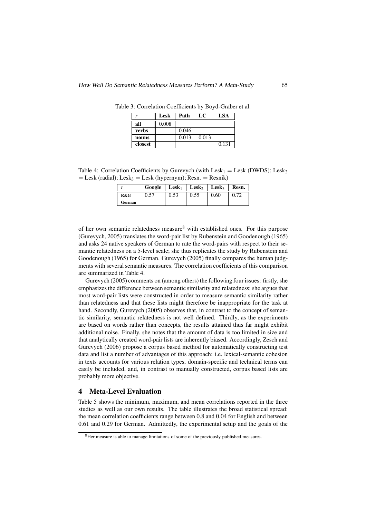| r       | Lesk  | Path  | LC    | LSA   |
|---------|-------|-------|-------|-------|
| all     | 0.008 |       |       |       |
| verbs   |       | 0.046 |       |       |
| nouns   |       | 0.013 | 0.013 |       |
| closest |       |       |       | 0.131 |

Table 3: Correlation Coefficients by Boyd-Graber et al.

Table 4: Correlation Coefficients by Gurevych (with Lesk<sub>1</sub> = Lesk (DWDS); Lesk<sub>2</sub>  $=$  Lesk (radial); Lesk<sub>3</sub> = Lesk (hypernym); Resn. = Resnik)

|        | $Google$ $Lesk1$ |      | <b>Lesk</b> | $\mathbf{L}$ esk <sub>3</sub> | Resn. |
|--------|------------------|------|-------------|-------------------------------|-------|
| R&G    | 0.57             | 0.53 | 0.55        | 0.60                          |       |
| German |                  |      |             |                               |       |

of her own semantic relatedness measure<sup>8</sup> with established ones. For this purpose (Gurevych, 2005) translates the word-pair list by Rubenstein and Goodenough (1965) and asks 24 native speakers of German to rate the word-pairs with respect to their semantic relatedness on a 5-level scale; she thus replicates the study by Rubenstein and Goodenough (1965) for German. Gurevych (2005) finally compares the human judgments with several semantic measures. The correlation coefficients of this comparison are summarized in Table 4.

Gurevych (2005) comments on (among others) the following four issues: firstly, she emphasizes the difference between semantic similarity and relatedness; she argues that most word-pair lists were constructed in order to measure semantic similarity rather than relatedness and that these lists might therefore be inappropriate for the task at hand. Secondly, Gurevych (2005) observes that, in contrast to the concept of semantic similarity, semantic relatedness is not well defined. Thirdly, as the experiments are based on words rather than concepts, the results attained thus far might exhibit additional noise. Finally, she notes that the amount of data is too limited in size and that analytically created word-pair lists are inherently biased. Accordingly, Zesch and Gurevych (2006) propose a corpus based method for automatically constructing test data and list a number of advantages of this approach: i.e. lexical-semantic cohesion in texts accounts for various relation types, domain-specific and technical terms can easily be included, and, in contrast to manually constructed, corpus based lists are probably more objective.

## 4 Meta-Level Evaluation

Table 5 shows the minimum, maximum, and mean correlations reported in the three studies as well as our own results. The table illustrates the broad statistical spread: the mean correlation coefficients range between 0.8 and 0.04 for English and between 0.61 and 0.29 for German. Admittedly, the experimental setup and the goals of the

<sup>&</sup>lt;sup>8</sup>Her measure is able to manage limitations of some of the previously published measures.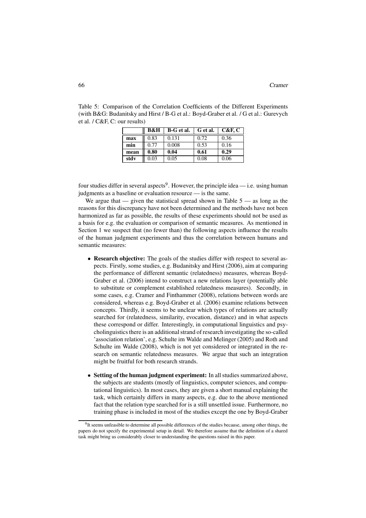|      | B&H  | B-G et al. | G et al. | C&F, C |
|------|------|------------|----------|--------|
| max  | 0.83 | 0.131      | 0.72     | 0.36   |
| min  | 0.77 | 0.008      | 0.53     | 0.16   |
| mean | 0.80 | 0.04       | 0.61     | 0.29   |
| stdy | 0.03 | 0.05       | 0.08     | 0.06   |

Table 5: Comparison of the Correlation Coefficients of the Different Experiments (with B&G: Budanitsky and Hirst / B-G et al.: Boyd-Graber et al. / G et al.: Gurevych et al. / C&F, C: our results)

four studies differ in several aspects<sup>9</sup>. However, the principle idea — i.e. using human judgments as a baseline or evaluation resource — is the same.

We argue that  $-$  given the statistical spread shown in Table  $5 -$  as long as the reasons for this discrepancy have not been determined and the methods have not been harmonized as far as possible, the results of these experiments should not be used as a basis for e.g. the evaluation or comparison of semantic measures. As mentioned in Section 1 we suspect that (no fewer than) the following aspects influence the results of the human judgment experiments and thus the correlation between humans and semantic measures:

- Research objective: The goals of the studies differ with respect to several aspects. Firstly, some studies, e.g. Budanitsky and Hirst (2006), aim at comparing the performance of different semantic (relatedness) measures, whereas Boyd-Graber et al. (2006) intend to construct a new relations layer (potentially able to substitute or complement established relatedness measures). Secondly, in some cases, e.g. Cramer and Finthammer (2008), relations between words are considered, whereas e.g. Boyd-Graber et al. (2006) examine relations between concepts. Thirdly, it seems to be unclear which types of relations are actually searched for (relatedness, similarity, evocation, distance) and in what aspects these correspond or differ. Interestingly, in computational linguistics and psycholinguistics there is an additional strand of research investigating the so-called 'association relation', e.g. Schulte im Walde and Melinger (2005) and Roth and Schulte im Walde (2008), which is not yet considered or integrated in the research on semantic relatedness measures. We argue that such an integration might be fruitful for both research strands.
- Setting of the human judgment experiment: In all studies summarized above, the subjects are students (mostly of linguistics, computer sciences, and computational linguistics). In most cases, they are given a short manual explaining the task, which certainly differs in many aspects, e.g. due to the above mentioned fact that the relation type searched for is a still unsettled issue. Furthermore, no training phase is included in most of the studies except the one by Boyd-Graber

 $9$ It seems unfeasible to determine all possible differences of the studies because, among other things, the papers do not specify the experimental setup in detail. We therefore assume that the definition of a shared task might bring us considerably closer to understanding the questions raised in this paper.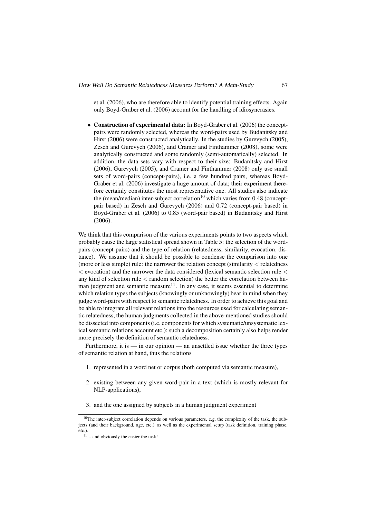et al. (2006), who are therefore able to identify potential training effects. Again only Boyd-Graber et al. (2006) account for the handling of idiosyncrasies.

• Construction of experimental data: In Boyd-Graber et al. (2006) the conceptpairs were randomly selected, whereas the word-pairs used by Budanitsky and Hirst (2006) were constructed analytically. In the studies by Gurevych (2005), Zesch and Gurevych (2006), and Cramer and Finthammer (2008), some were analytically constructed and some randomly (semi-automatically) selected. In addition, the data sets vary with respect to their size: Budanitsky and Hirst (2006), Gurevych (2005), and Cramer and Finthammer (2008) only use small sets of word-pairs (concept-pairs), i.e. a few hundred pairs, whereas Boyd-Graber et al. (2006) investigate a huge amount of data; their experiment therefore certainly constitutes the most representative one. All studies also indicate the (mean/median) inter-subject correlation<sup>10</sup> which varies from 0.48 (conceptpair based) in Zesch and Gurevych (2006) and 0.72 (concept-pair based) in Boyd-Graber et al. (2006) to 0.85 (word-pair based) in Budanitsky and Hirst (2006).

We think that this comparison of the various experiments points to two aspects which probably cause the large statistical spread shown in Table 5: the selection of the wordpairs (concept-pairs) and the type of relation (relatedness, similarity, evocation, distance). We assume that it should be possible to condense the comparison into one (more or less simple) rule: the narrower the relation concept (similarity  $\lt$  relatedness  $<$  evocation) and the narrower the data considered (lexical semantic selection rule  $<$ any kind of selection rule  $\lt$  random selection) the better the correlation between human judgment and semantic measure $11$ . In any case, it seems essential to determine which relation types the subjects (knowingly or unknowingly) bear in mind when they judge word-pairs with respect to semantic relatedness. In order to achieve this goal and be able to integrate all relevant relations into the resources used for calculating semantic relatedness, the human judgments collected in the above-mentioned studies should be dissected into components (i.e. components for which systematic/unsystematic lexical semantic relations account etc.); such a decomposition certainly also helps render more precisely the definition of semantic relatedness.

Furthermore, it is — in our opinion — an unsettled issue whether the three types of semantic relation at hand, thus the relations

- 1. represented in a word net or corpus (both computed via semantic measure),
- 2. existing between any given word-pair in a text (which is mostly relevant for NLP-applications),
- 3. and the one assigned by subjects in a human judgment experiment

<sup>&</sup>lt;sup>10</sup>The inter-subject correlation depends on various parameters, e.g. the complexity of the task, the subjects (and their background, age, etc.) as well as the experimental setup (task definition, training phase, etc.).

 $11...$  and obviously the easier the task!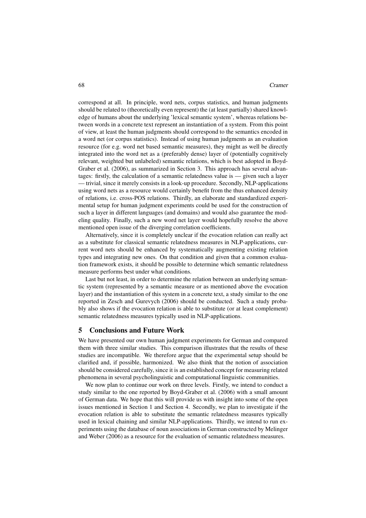correspond at all. In principle, word nets, corpus statistics, and human judgments should be related to (theoretically even represent) the (at least partially) shared knowledge of humans about the underlying 'lexical semantic system', whereas relations between words in a concrete text represent an instantiation of a system. From this point of view, at least the human judgments should correspond to the semantics encoded in a word net (or corpus statistics). Instead of using human judgments as an evaluation resource (for e.g. word net based semantic measures), they might as well be directly integrated into the word net as a (preferably dense) layer of (potentially cognitively relevant, weighted but unlabeled) semantic relations, which is best adopted in Boyd-Graber et al. (2006), as summarized in Section 3. This approach has several advantages: firstly, the calculation of a semantic relatedness value is — given such a layer — trivial, since it merely consists in a look-up procedure. Secondly, NLP-applications using word nets as a resource would certainly benefit from the thus enhanced density of relations, i.e. cross-POS relations. Thirdly, an elaborate and standardized experimental setup for human judgment experiments could be used for the construction of such a layer in different languages (and domains) and would also guarantee the modeling quality. Finally, such a new word net layer would hopefully resolve the above mentioned open issue of the diverging correlation coefficients.

Alternatively, since it is completely unclear if the evocation relation can really act as a substitute for classical semantic relatedness measures in NLP-applications, current word nets should be enhanced by systematically augmenting existing relation types and integrating new ones. On that condition and given that a common evaluation framework exists, it should be possible to determine which semantic relatedness measure performs best under what conditions.

Last but not least, in order to determine the relation between an underlying semantic system (represented by a semantic measure or as mentioned above the evocation layer) and the instantiation of this system in a concrete text, a study similar to the one reported in Zesch and Gurevych (2006) should be conducted. Such a study probably also shows if the evocation relation is able to substitute (or at least complement) semantic relatedness measures typically used in NLP-applications.

#### 5 Conclusions and Future Work

We have presented our own human judgment experiments for German and compared them with three similar studies. This comparison illustrates that the results of these studies are incompatible. We therefore argue that the experimental setup should be clarified and, if possible, harmonized. We also think that the notion of association should be considered carefully, since it is an established concept for measuring related phenomena in several psycholinguistic and computational linguistic communities.

We now plan to continue our work on three levels. Firstly, we intend to conduct a study similar to the one reported by Boyd-Graber et al. (2006) with a small amount of German data. We hope that this will provide us with insight into some of the open issues mentioned in Section 1 and Section 4. Secondly, we plan to investigate if the evocation relation is able to substitute the semantic relatedness measures typically used in lexical chaining and similar NLP-applications. Thirdly, we intend to run experiments using the database of noun associations in German constructed by Melinger and Weber (2006) as a resource for the evaluation of semantic relatedness measures.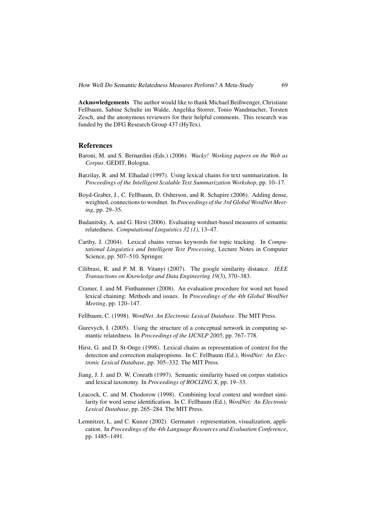Acknowledgements The author would like to thank Michael Beißwenger, Christiane Fellbaum, Sabine Schulte im Walde, Angelika Storrer, Tonio Wandmacher, Torsten Zesch, and the anonymous reviewers for their helpful comments. This research was funded by the DFG Research Group 437 (HyTex).

## References

- Baroni, M. and S. Bernardini (Eds.) (2006). *Wacky! Working papers on the Web as Corpus*. GEDIT, Bologna.
- Barzilay, R. and M. Elhadad (1997). Using lexical chains for text summarization. In *Proceedings of the Intelligent Scalable Text Summarization Workshop*, pp. 10–17.
- Boyd-Graber, J., C. Fellbaum, D. Osherson, and R. Schapire (2006). Adding dense, weighted, connections to wordnet. In *Proceedings of the 3rd Global WordNet Meeting*, pp. 29–35.
- Budanitsky, A. and G. Hirst (2006). Evaluating wordnet-based measures of semantic relatedness. *Computational Linguistics 32 (1)*, 13–47.
- Carthy, J. (2004). Lexical chains versus keywords for topic tracking. In *Computational Linguistics and Intelligent Text Processing*, Lecture Notes in Computer Science, pp. 507–510. Springer.
- Cilibrasi, R. and P. M. B. Vitanyi (2007). The google similarity distance. *IEEE Transactions on Knowledge and Data Engineering 19*(3), 370–383.
- Cramer, I. and M. Finthammer (2008). An evaluation procedure for word net based lexical chaining: Methods and issues. In *Proceedings of the 4th Global WordNet Meeting*, pp. 120–147.
- Fellbaum, C. (1998). *WordNet. An Electronic Lexical Database*. The MIT Press.
- Gurevych, I. (2005). Using the structure of a conceptual network in computing semantic relatedness. In *Proceedings of the IJCNLP 2005*, pp. 767–778.
- Hirst, G. and D. St-Onge (1998). Lexical chains as representation of context for the detection and correction malapropisms. In C. Fellbaum (Ed.), *WordNet: An Electronic Lexical Database*, pp. 305–332. The MIT Press.
- Jiang, J. J. and D. W. Conrath (1997). Semantic similarity based on corpus statistics and lexical taxonomy. In *Proceedings of ROCLING X*, pp. 19–33.
- Leacock, C. and M. Chodorow (1998). Combining local context and wordnet similarity for word sense identification. In C. Fellbaum (Ed.), *WordNet: An Electronic Lexical Database*, pp. 265–284. The MIT Press.
- Lemnitzer, L. and C. Kunze (2002). Germanet representation, visualization, application. In *Proceedings of the 4th Language Resources and Evaluation Conference*, pp. 1485–1491.